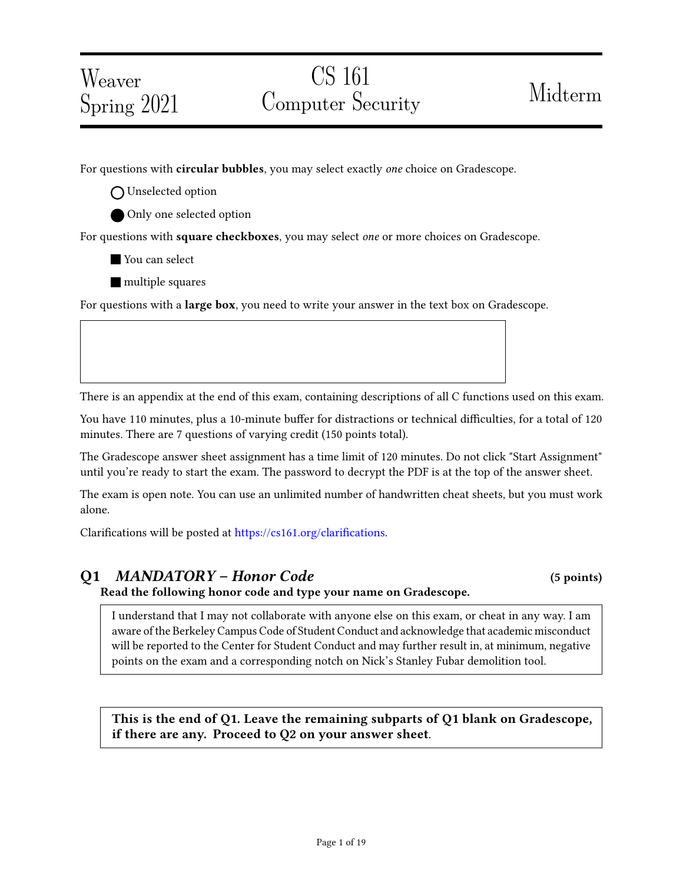# Weaver Spring 2021

# CS 161 Computer Security Midterm

For questions with **circular bubbles**, you may select exactly *one* choice on Gradescope.

O Unselected option

Only one selected option

For questions with square checkboxes, you may select one or more choices on Gradescope.

You can select

**multiple squares** 

For questions with a **large box**, you need to write your answer in the text box on Gradescope.

There is an appendix at the end of this exam, containing descriptions of all C functions used on this exam.

You have 110 minutes, plus a 10-minute buffer for distractions or technical difficulties, for a total of 120 minutes. There are 7 questions of varying credit (150 points total).

The Gradescope answer sheet assignment has a time limit of 120 minutes. Do not click "Start Assignment" until you're ready to start the exam. The password to decrypt the PDF is at the top of the answer sheet.

The exam is open note. You can use an unlimited number of handwritten cheat sheets, but you must work alone.

Clarifications will be posted at https://cs161.org/clarifications.

### Q1 MANDATORY – Honor Code (5 points)

Read the following honor code and type your name on Gradescope.

I understand that I may not collaborate with anyone else on this exam, or cheat in any way. I am aware of the Berkeley Campus Code of Student Conduct and acknowledge that academic misconduct will be reported to the Center for Student Conduct and may further result in, at minimum, negative points on the exam and a corresponding notch on Nick's Stanley Fubar demolition tool.

This is the end of Q1. Leave the remaining subparts of Q1 blank on Gradescope, if there are any. Proceed to Q2 on your answer sheet.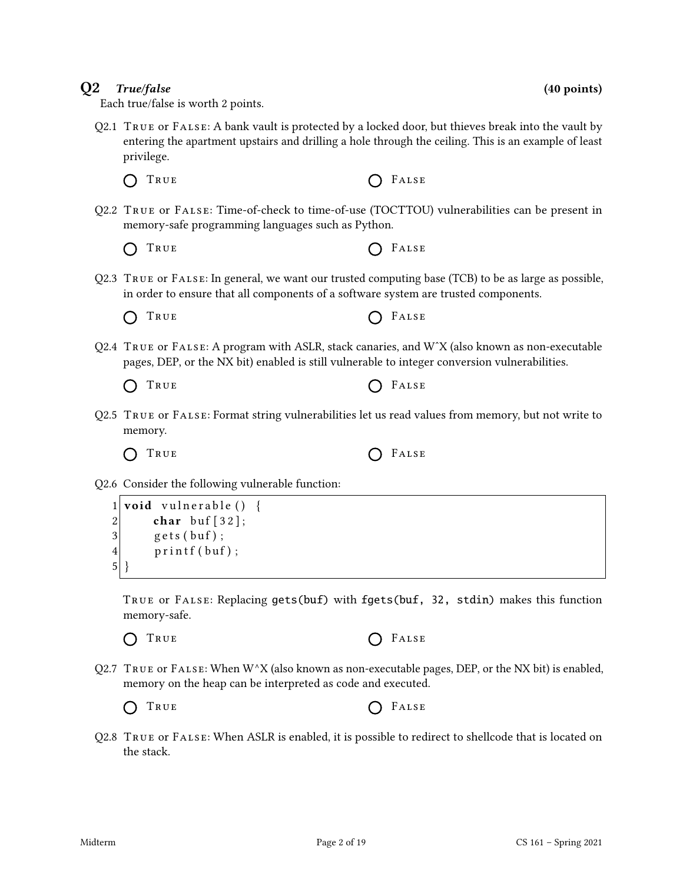Q2.1 True or False: A bank vault is protected by a locked door, but thieves break into the vault by entering the apartment upstairs and drilling a hole through the ceiling. This is an example of least privilege.

Each true/false is worth 2 points.

- Q2.2 True or False: Time-of-check to time-of-use (TOCTTOU) vulnerabilities can be present in memory-safe programming languages such as Python.
	- True False

 $\bigcap$  True  $\bigcap$  False

- Q2.3 True or False: In general, we want our trusted computing base (TCB) to be as large as possible, in order to ensure that all components of a software system are trusted components.
	- $\bigcap$  True  $\bigcap$  False
- Q2.4 True or False: A program with ASLR, stack canaries, and WˆX (also known as non-executable pages, DEP, or the NX bit) enabled is still vulnerable to integer conversion vulnerabilities.
	- $\bigcap$  True  $\bigcap$  False
- Q2.5 True or False: Format string vulnerabilities let us read values from memory, but not write to memory.
	-
- Q2.6 Consider the following vulnerable function:

 $1$  void vulnerable () {  $2$  char buf [32];  $3 \mid$  gets (buf);  $4$  printf (buf);  $5$ }

True or False: Replacing gets(buf) with fgets(buf, 32, stdin) makes this function memory-safe.

- TRUE **C** FALSE  $\bigcap$
- Q2.7 TRUE or FALSE: When  $W^{\wedge}X$  (also known as non-executable pages, DEP, or the NX bit) is enabled, memory on the heap can be interpreted as code and executed.
	- TRUE **C** FALSE  $\bigcap$
- Q2.8 True or False: When ASLR is enabled, it is possible to redirect to shellcode that is located on the stack.

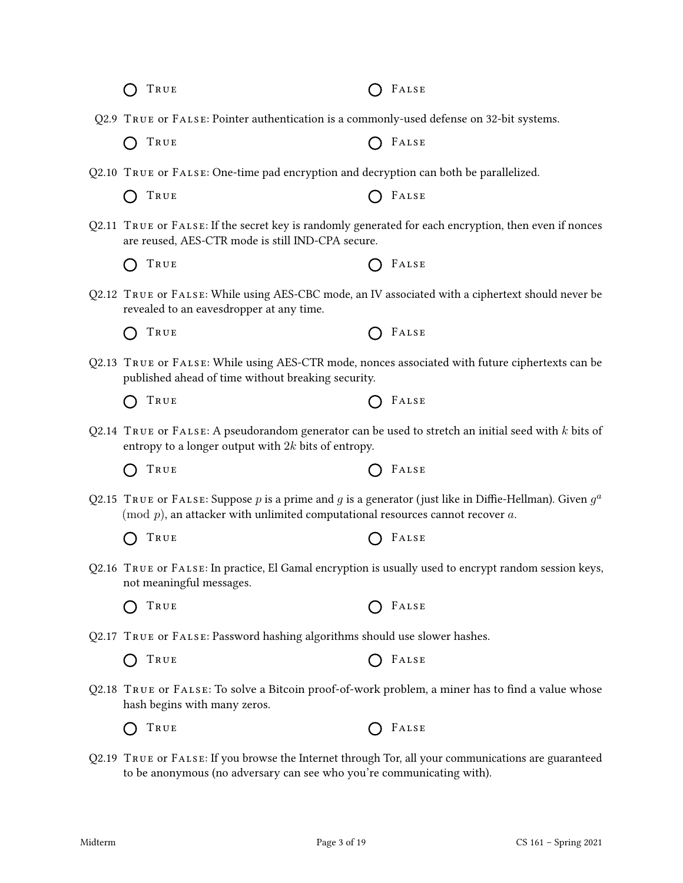| TRUE                                                                                                                                                                                             | FALSE |
|--------------------------------------------------------------------------------------------------------------------------------------------------------------------------------------------------|-------|
| Q2.9 TRUE or FALSE: Pointer authentication is a commonly-used defense on 32-bit systems.                                                                                                         |       |
| TRUE                                                                                                                                                                                             | FALSE |
| Q2.10 TRUE or FALSE: One-time pad encryption and decryption can both be parallelized.                                                                                                            |       |
| TRUE                                                                                                                                                                                             | FALSE |
| Q2.11 TRUE or FALSE: If the secret key is randomly generated for each encryption, then even if nonces<br>are reused, AES-CTR mode is still IND-CPA secure.                                       |       |
| TRUE                                                                                                                                                                                             | FALSE |
| Q2.12 TRUE OF FALSE: While using AES-CBC mode, an IV associated with a ciphertext should never be<br>revealed to an eavesdropper at any time.                                                    |       |
| TRUE                                                                                                                                                                                             | FALSE |
| Q2.13 TRUE OF FALSE: While using AES-CTR mode, nonces associated with future ciphertexts can be<br>published ahead of time without breaking security.                                            |       |
| TRUE                                                                                                                                                                                             | FALSE |
| Q2.14 TRUE or FALSE: A pseudorandom generator can be used to stretch an initial seed with $k$ bits of<br>entropy to a longer output with $2k$ bits of entropy.                                   |       |
| TRUE                                                                                                                                                                                             | FALSE |
| Q2.15 TRUE or FALSE: Suppose p is a prime and g is a generator (just like in Diffie-Hellman). Given $g^a$<br>(mod $p$ ), an attacker with unlimited computational resources cannot recover $a$ . |       |
| TRUE                                                                                                                                                                                             | FALSE |
| Q2.16 TRUE or FALSE: In practice, El Gamal encryption is usually used to encrypt random session keys,<br>not meaningful messages.                                                                |       |
| TRUE                                                                                                                                                                                             | FALSE |
| Q2.17 TRUE or FALSE: Password hashing algorithms should use slower hashes.                                                                                                                       |       |
| TRUE                                                                                                                                                                                             | FALSE |
| Q2.18 TRUE OF FALSE: To solve a Bitcoin proof-of-work problem, a miner has to find a value whose<br>hash begins with many zeros.                                                                 |       |
| TRUE                                                                                                                                                                                             | FALSE |
| Q2.19 TRUE or FALSE: If you browse the Internet through Tor, all your communications are guaranteed<br>to be anonymous (no adversary can see who you're communicating with).                     |       |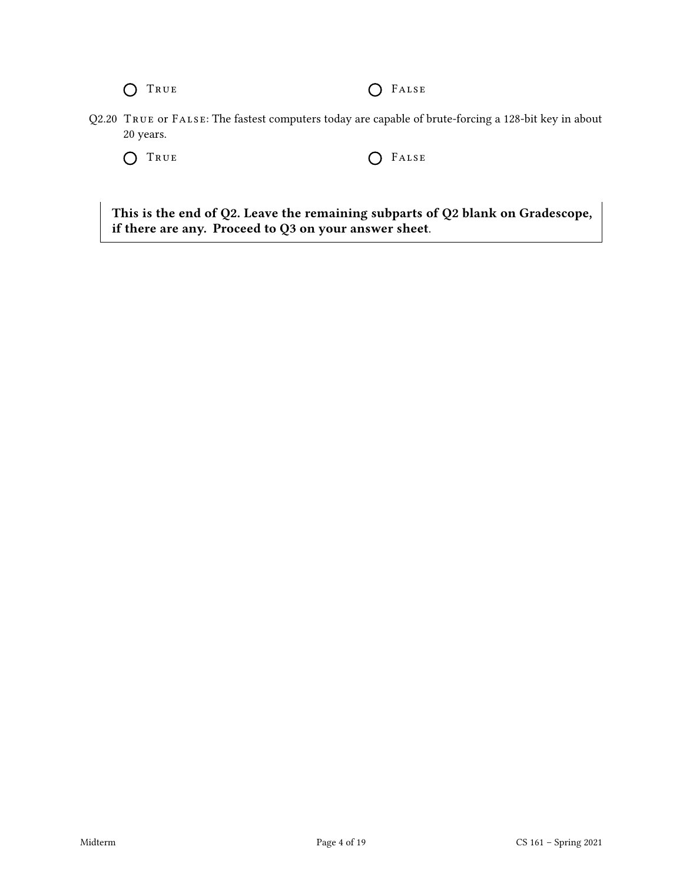O TRUE O FALSE

Q2.20 True or False: The fastest computers today are capable of brute-forcing a 128-bit key in about 20 years.

O TRUE O FALSE

This is the end of Q2. Leave the remaining subparts of Q2 blank on Gradescope, if there are any. Proceed to Q3 on your answer sheet.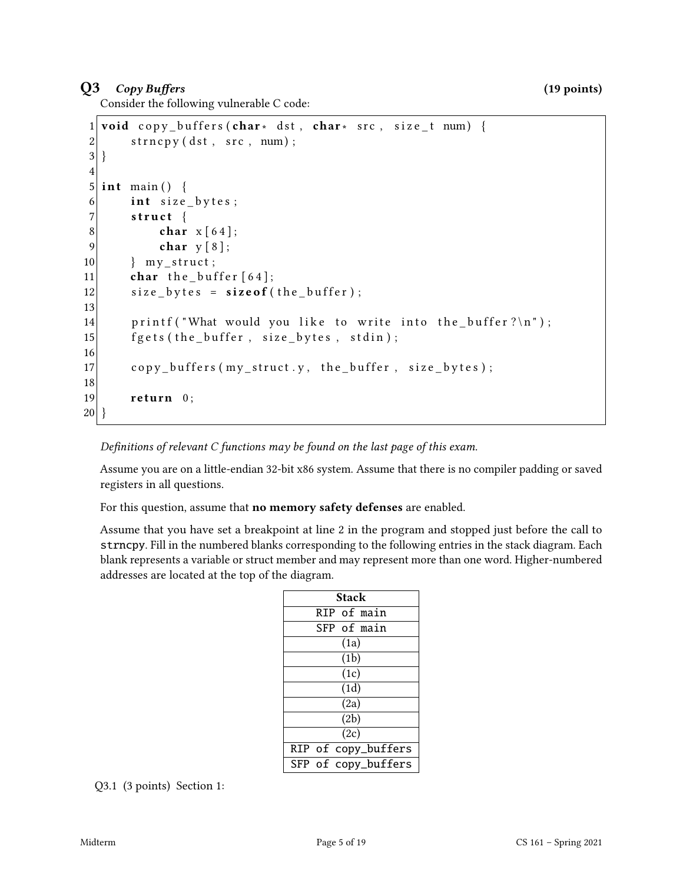## $Q3$  Copy Buffers (19 points)

Consider the following vulnerable C code:

```
1 void copy buffers (char * dst, char * src, size t num) {
2 strncpy (dst, src, num);
3}
4
5 int main () {
6 int size_bytes;
7 struct {
8 char x [64];
9 char y [8];
10 } my_struct;
11 char the buffer [64];
12 size_bytes = size of (the_buffer);
13
14 printf ("What would you like to write into the buffer?\ln");
15 \left| \right| f g e t s (the buffer, size bytes, stdin);
16
17 copy_buffers (my_struct.y, the_buffer, size_bytes);
18
19 return 0;
20 }
```
Definitions of relevant  $C$  functions may be found on the last page of this exam.

Assume you are on a little-endian 32-bit x86 system. Assume that there is no compiler padding or saved registers in all questions.

For this question, assume that **no memory safety defenses** are enabled.

Assume that you have set a breakpoint at line 2 in the program and stopped just before the call to strncpy. Fill in the numbered blanks corresponding to the following entries in the stack diagram. Each blank represents a variable or struct member and may represent more than one word. Higher-numbered addresses are located at the top of the diagram.

| Stack       |  |                     |
|-------------|--|---------------------|
| RIP of main |  |                     |
|             |  | SFP of main         |
|             |  | (1a)                |
|             |  | (1b)                |
| (1c)        |  |                     |
| (1d)        |  |                     |
|             |  | (2a)                |
| (2b)        |  |                     |
| (2c)        |  |                     |
|             |  | RIP of copy_buffers |
|             |  | SFP of copy_buffers |

Q3.1 (3 points) Section 1: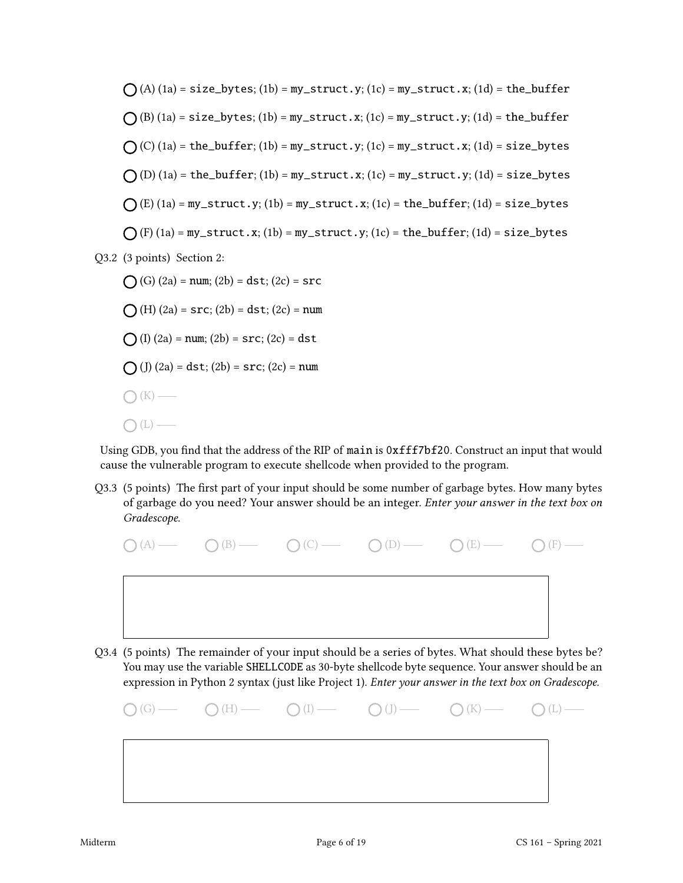(A) (1a) = size\_bytes; (1b) = my\_struct.y; (1c) = my\_struct.x; (1d) = the\_buffer (B) (1a) = size\_bytes; (1b) = my\_struct.x; (1c) = my\_struct.y; (1d) = the\_buffer (C) (1a) = the\_buffer; (1b) = my\_struct.y; (1c) = my\_struct.x; (1d) = size\_bytes (D) (1a) = the\_buffer; (1b) = my\_struct.x; (1c) = my\_struct.y; (1d) = size\_bytes (E) (1a) = my\_struct.y; (1b) = my\_struct.x; (1c) = the\_buffer; (1d) = size\_bytes (F) (1a) = my\_struct.x; (1b) = my\_struct.y; (1c) = the\_buffer; (1d) = size\_bytes Q3.2 (3 points) Section 2: (G) (2a) = num; (2b) = dst; (2c) = src (H) (2a) = src; (2b) = dst; (2c) = num (I) (2a) = num; (2b) = src; (2c) = dst (J) (2a) = dst; (2b) = src; (2c) = num (K)

Using GDB, you find that the address of the RIP of main is 0xfff7bf20. Construct an input that would cause the vulnerable program to execute shellcode when provided to the program.

Q3.3 (5 points) The first part of your input should be some number of garbage bytes. How many bytes of garbage do you need? Your answer should be an integer. Enter your answer in the text box on Gradescope.



Q3.4 (5 points) The remainder of your input should be a series of bytes. What should these bytes be? You may use the variable SHELLCODE as 30-byte shellcode byte sequence. Your answer should be an expression in Python 2 syntax (just like Project 1). Enter your answer in the text box on Gradescope.



 $\bigcap(L)$  —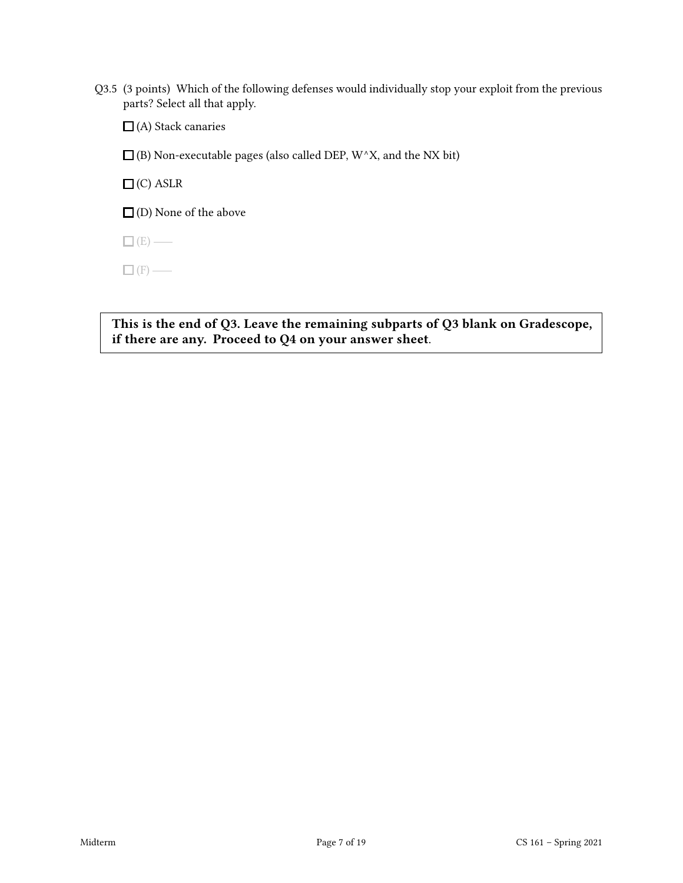Q3.5 (3 points) Which of the following defenses would individually stop your exploit from the previous parts? Select all that apply.

 $\Box$  (A) Stack canaries

 $\square$  (B) Non-executable pages (also called DEP, W^X, and the NX bit)

 $\Box$  (C) ASLR

 $\square$  (D) None of the above

 $\Box$  (E) —

 $\Box$  (F) —

This is the end of Q3. Leave the remaining subparts of Q3 blank on Gradescope, if there are any. Proceed to Q4 on your answer sheet.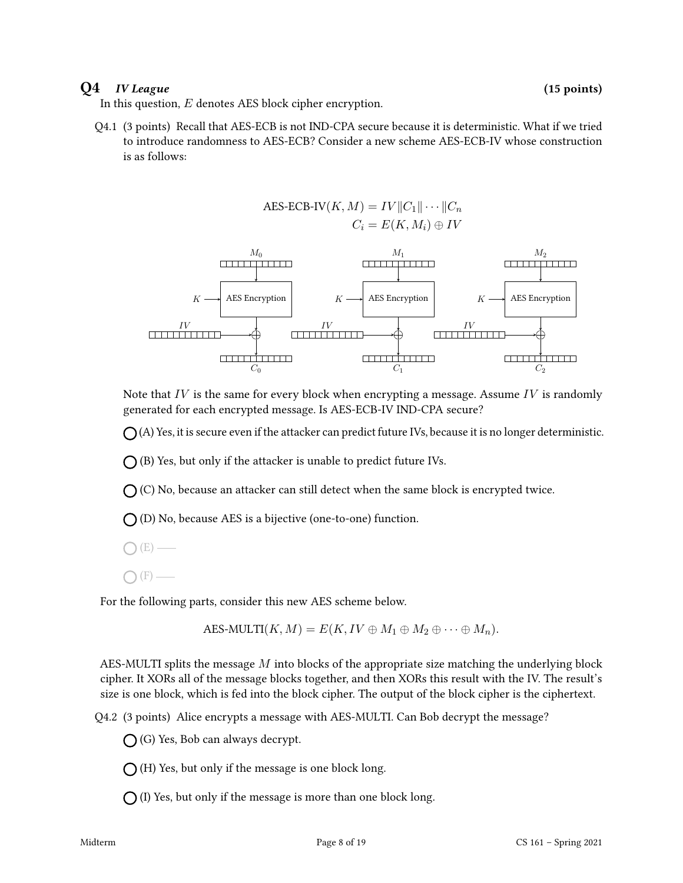#### $Q4$  *IV League* (15 points)

In this question,  $E$  denotes AES block cipher encryption.

Q4.1 (3 points) Recall that AES-ECB is not IND-CPA secure because it is deterministic. What if we tried to introduce randomness to AES-ECB? Consider a new scheme AES-ECB-IV whose construction is as follows:



Note that  $IV$  is the same for every block when encrypting a message. Assume  $IV$  is randomly generated for each encrypted message. Is AES-ECB-IV IND-CPA secure?

 $\bigcap$  (A) Yes, it is secure even if the attacker can predict future IVs, because it is no longer deterministic.

 $\bigcap$  (B) Yes, but only if the attacker is unable to predict future IVs.

 $\bigcap$  (C) No, because an attacker can still detect when the same block is encrypted twice.

 $\bigcap$  (D) No, because AES is a bijective (one-to-one) function.

 $(E)$  —

 $(F)$  —

For the following parts, consider this new AES scheme below.

AES-MULTI
$$
(K, M) = E(K, IV \oplus M_1 \oplus M_2 \oplus \cdots \oplus M_n).
$$

AES-MULTI splits the message M into blocks of the appropriate size matching the underlying block cipher. It XORs all of the message blocks together, and then XORs this result with the IV. The result's size is one block, which is fed into the block cipher. The output of the block cipher is the ciphertext.

Q4.2 (3 points) Alice encrypts a message with AES-MULTI. Can Bob decrypt the message?

 $\bigcap$  (G) Yes, Bob can always decrypt.

 $\bigcap$  (H) Yes, but only if the message is one block long.

 $\bigcap$  (I) Yes, but only if the message is more than one block long.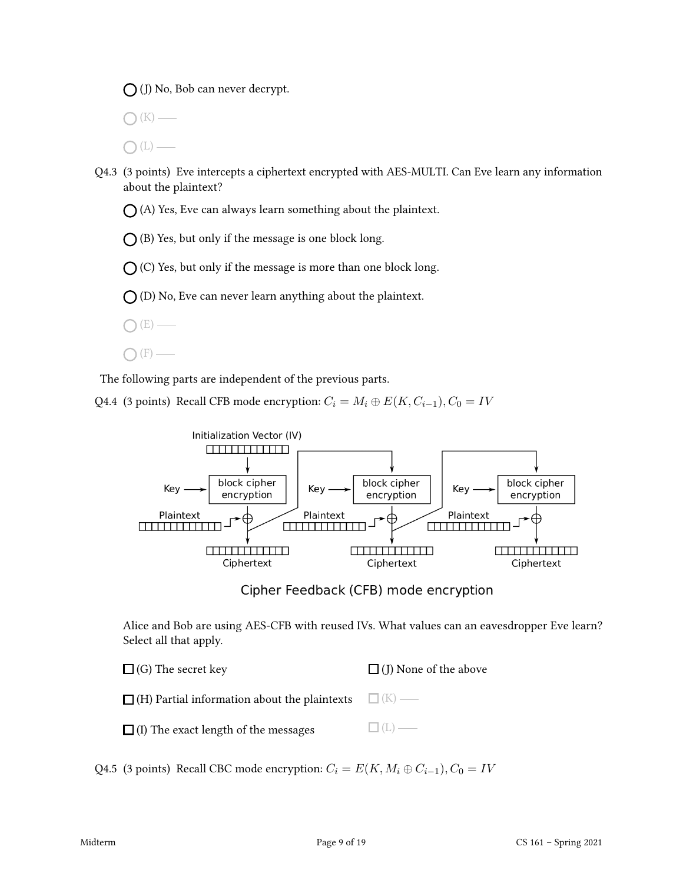(J) No, Bob can never decrypt.

 $\mathcal{L}(K)$  —

 $\bigcap(L)$  —

Q4.3 (3 points) Eve intercepts a ciphertext encrypted with AES-MULTI. Can Eve learn any information about the plaintext?

 $\bigcap$  (A) Yes, Eve can always learn something about the plaintext.

 $O$  (B) Yes, but only if the message is one block long.

 $\bigcap$  (C) Yes, but only if the message is more than one block long.

 $\bigcap$  (D) No, Eve can never learn anything about the plaintext.

- $(E)$  —
- $\bigcap$  (F) —

The following parts are independent of the previous parts.

Q4.4 (3 points) Recall CFB mode encryption:  $C_i = M_i \oplus E(K, C_{i-1}), C_0 = IV$ 



Cipher Feedback (CFB) mode encryption

Alice and Bob are using AES-CFB with reused IVs. What values can an eavesdropper Eve learn? Select all that apply.

| $\Box$ (G) The secret key                                        | $\Box$ (J) None of the above |
|------------------------------------------------------------------|------------------------------|
| $\Box$ (H) Partial information about the plaintexts $\Box$ (K) — |                              |
| $\Box$ (I) The exact length of the messages                      | $\Box$ (L) —                 |

Q4.5 (3 points) Recall CBC mode encryption:  $C_i = E(K, M_i \oplus C_{i-1}), C_0 = IV$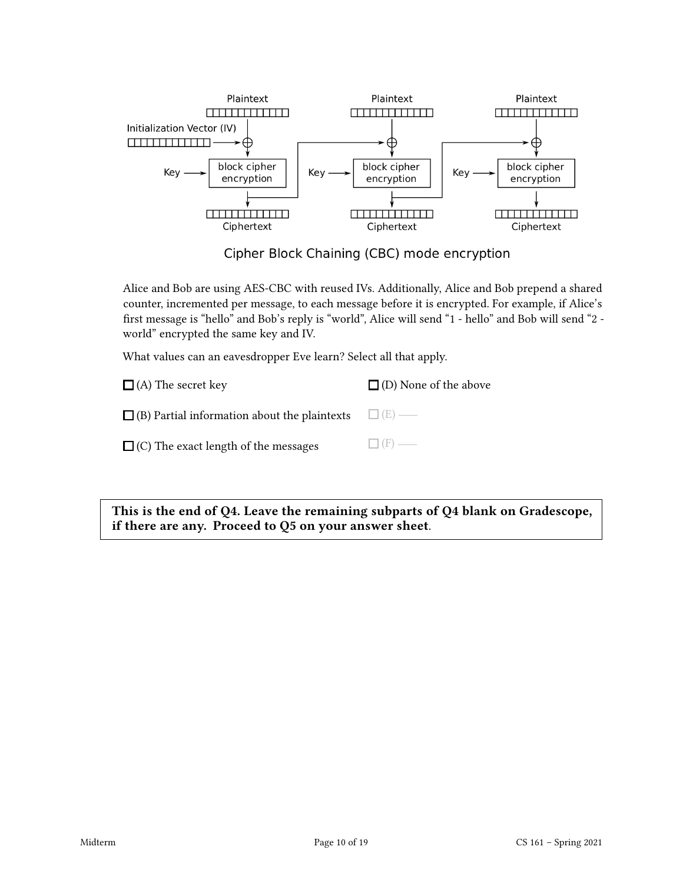

Cipher Block Chaining (CBC) mode encryption

Alice and Bob are using AES-CBC with reused IVs. Additionally, Alice and Bob prepend a shared counter, incremented per message, to each message before it is encrypted. For example, if Alice's first message is "hello" and Bob's reply is "world", Alice will send "1 - hello" and Bob will send "2 world" encrypted the same key and IV.

What values can an eavesdropper Eve learn? Select all that apply.

| $\Box$ (A) The secret key                                        | $\Box$ (D) None of the above |
|------------------------------------------------------------------|------------------------------|
| $\Box$ (B) Partial information about the plaintexts $\Box$ (E) — |                              |
| $\Box$ (C) The exact length of the messages                      | $\Box$ (F) —                 |

This is the end of Q4. Leave the remaining subparts of Q4 blank on Gradescope, if there are any. Proceed to Q5 on your answer sheet.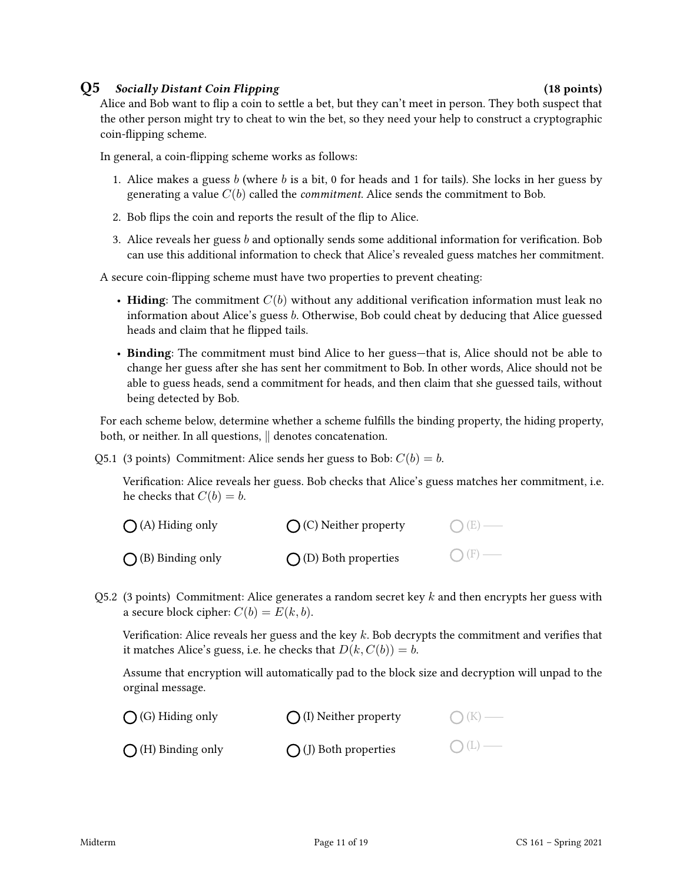#### Q5 Socially Distant Coin Flipping (18 points)

Alice and Bob want to flip a coin to settle a bet, but they can't meet in person. They both suspect that the other person might try to cheat to win the bet, so they need your help to construct a cryptographic coin-flipping scheme.

In general, a coin-flipping scheme works as follows:

- 1. Alice makes a guess b (where b is a bit, 0 for heads and 1 for tails). She locks in her guess by generating a value  $C(b)$  called the *commitment*. Alice sends the commitment to Bob.
- 2. Bob flips the coin and reports the result of the flip to Alice.
- 3. Alice reveals her guess b and optionally sends some additional information for verification. Bob can use this additional information to check that Alice's revealed guess matches her commitment.

A secure coin-flipping scheme must have two properties to prevent cheating:

- Hiding: The commitment  $C(b)$  without any additional verification information must leak no information about Alice's guess b. Otherwise, Bob could cheat by deducing that Alice guessed heads and claim that he flipped tails.
- Binding: The commitment must bind Alice to her guess—that is, Alice should not be able to change her guess after she has sent her commitment to Bob. In other words, Alice should not be able to guess heads, send a commitment for heads, and then claim that she guessed tails, without being detected by Bob.

For each scheme below, determine whether a scheme fulfills the binding property, the hiding property, both, or neither. In all questions,  $\parallel$  denotes concatenation.

Q5.1 (3 points) Commitment: Alice sends her guess to Bob:  $C(b) = b$ .

Verification: Alice reveals her guess. Bob checks that Alice's guess matches her commitment, i.e. he checks that  $C(b) = b$ .

| $\bigcap$ (A) Hiding only  | $\bigcap$ (C) Neither property | $O(E)$ — |
|----------------------------|--------------------------------|----------|
| $\bigcap$ (B) Binding only | $\bigcap$ (D) Both properties  | $O(F)$ — |

Q5.2 (3 points) Commitment: Alice generates a random secret key k and then encrypts her guess with a secure block cipher:  $C(b) = E(k, b)$ .

Verification: Alice reveals her guess and the key k. Bob decrypts the commitment and verifies that it matches Alice's guess, i.e. he checks that  $D(k, C(b)) = b$ .

Assume that encryption will automatically pad to the block size and decryption will unpad to the orginal message.

| $\bigcap$ (G) Hiding only  | $\bigcap$ (I) Neither property | $O(K)$ — |
|----------------------------|--------------------------------|----------|
| $\bigcap$ (H) Binding only | $\bigcirc$ (J) Both properties | $O(L)$ — |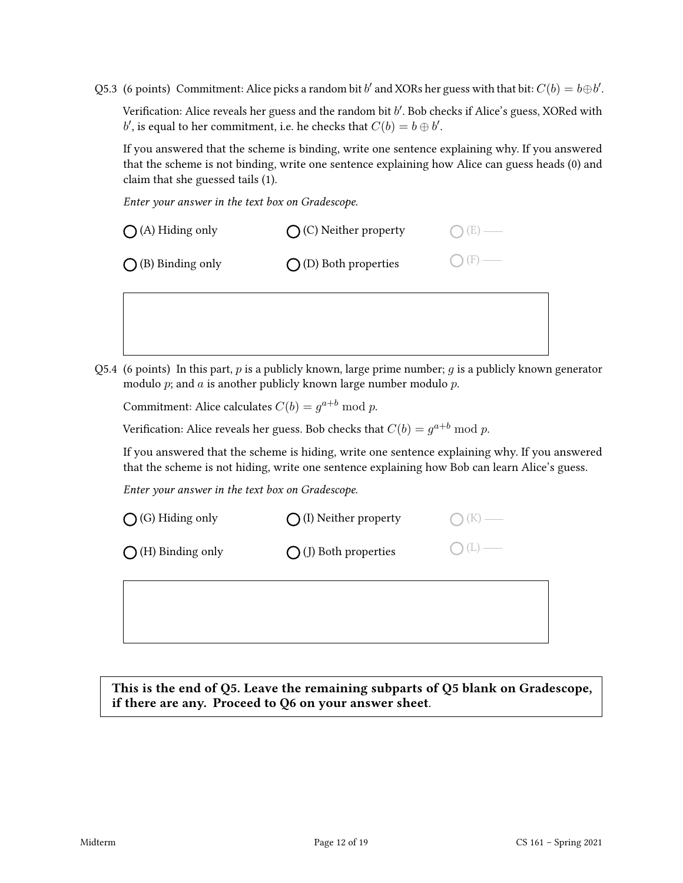Q5.3 (6 points) Commitment: Alice picks a random bit b' and XORs her guess with that bit:  $C(b) = b \oplus b'$ .

Verification: Alice reveals her guess and the random bit  $b'$ . Bob checks if Alice's guess, XORed with b', is equal to her commitment, i.e. he checks that  $C(b) = b \oplus b'$ .

If you answered that the scheme is binding, write one sentence explaining why. If you answered that the scheme is not binding, write one sentence explaining how Alice can guess heads (0) and claim that she guessed tails (1).

Enter your answer in the text box on Gradescope.

| $\bigcap$ (A) Hiding only  | $\bigcap$ (C) Neither property | $O(E)$ —        |
|----------------------------|--------------------------------|-----------------|
| $\bigcap$ (B) Binding only | $\bigcirc$ (D) Both properties | $\bigcap$ (F) — |

Q5.4 (6 points) In this part, p is a publicly known, large prime number; q is a publicly known generator modulo  $p$ ; and  $a$  is another publicly known large number modulo  $p$ .

Commitment: Alice calculates  $C(b) = g^{a+b} \bmod p$ .

Verification: Alice reveals her guess. Bob checks that  $C(b) = g^{a+b} \bmod p$ .

If you answered that the scheme is hiding, write one sentence explaining why. If you answered that the scheme is not hiding, write one sentence explaining how Bob can learn Alice's guess.

Enter your answer in the text box on Gradescope.

| $\bigcirc$ (G) Hiding only | $\bigcap$ (I) Neither property | $\bigcap (K)$ — |
|----------------------------|--------------------------------|-----------------|
| $\bigcap$ (H) Binding only | $\bigcirc$ (J) Both properties | $O(L)$ —        |
|                            |                                |                 |

This is the end of Q5. Leave the remaining subparts of Q5 blank on Gradescope, if there are any. Proceed to Q6 on your answer sheet.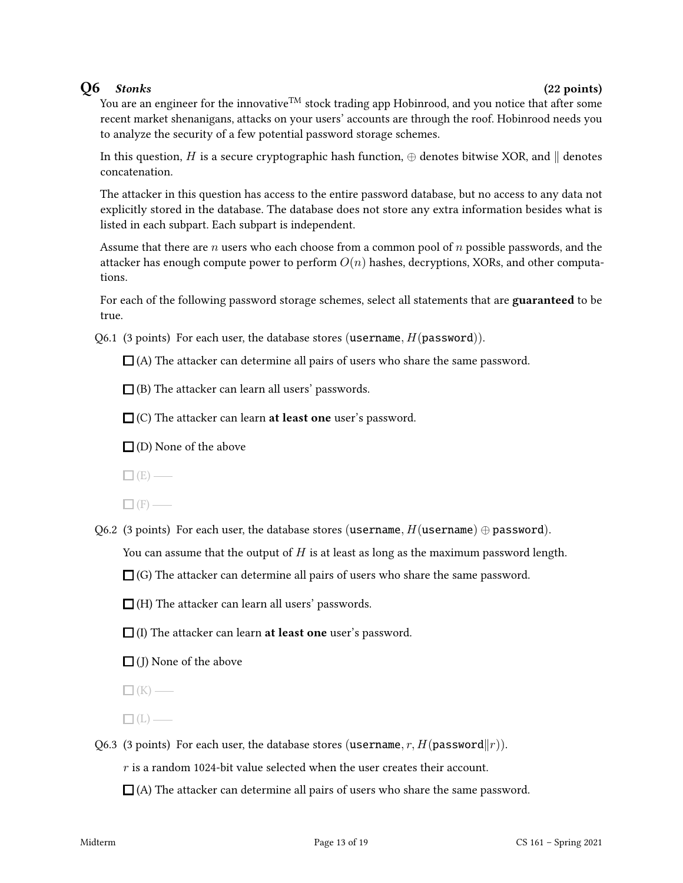### $Q6$  Stonks (22 points)

You are an engineer for the innovative<sup>TM</sup> stock trading app Hobinrood, and you notice that after some recent market shenanigans, attacks on your users' accounts are through the roof. Hobinrood needs you to analyze the security of a few potential password storage schemes.

In this question, H is a secure cryptographic hash function,  $\oplus$  denotes bitwise XOR, and  $\parallel$  denotes concatenation.

The attacker in this question has access to the entire password database, but no access to any data not explicitly stored in the database. The database does not store any extra information besides what is listed in each subpart. Each subpart is independent.

Assume that there are n users who each choose from a common pool of n possible passwords, and the attacker has enough compute power to perform  $O(n)$  hashes, decryptions, XORs, and other computations.

For each of the following password storage schemes, select all statements that are guaranteed to be true.

Q6.1 (3 points) For each user, the database stores (username,  $H(password)$ ).

 $\Box$  (A) The attacker can determine all pairs of users who share the same password.

 $\Box$  (B) The attacker can learn all users' passwords.

 $\square$  (C) The attacker can learn **at least one** user's password.

 $\Box$  (D) None of the above

 $\Box$ (E) —

 $\Box$  (F) —

Q6.2 (3 points) For each user, the database stores (username,  $H$ (username)  $\oplus$  password).

You can assume that the output of  $H$  is at least as long as the maximum password length.

 $\Box$  (G) The attacker can determine all pairs of users who share the same password.

 $\Box$  (H) The attacker can learn all users' passwords.

- $\Box$  (I) The attacker can learn **at least one** user's password.
- $\Box$  (J) None of the above

 $\Box$  (K) —

 $\Box$ (L) —

Q6.3 (3 points) For each user, the database stores (username, r,  $H(\text{password}||r)$ ).

 $r$  is a random 1024-bit value selected when the user creates their account.

 $\Box$  (A) The attacker can determine all pairs of users who share the same password.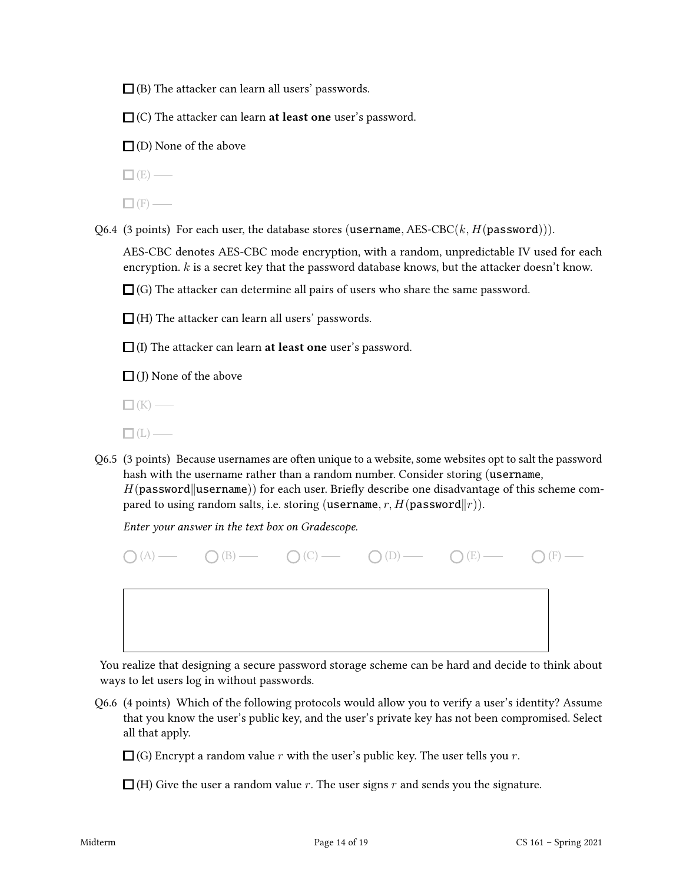$\square$  (B) The attacker can learn all users' passwords.

 $\Box$  (C) The attacker can learn **at least one** user's password.

 $\Box$  (D) None of the above

 $\Box$  (E) —

 $\Box$  (F) —

Q6.4 (3 points) For each user, the database stores (username, AES-CBC $(k, H(password)))$ .

AES-CBC denotes AES-CBC mode encryption, with a random, unpredictable IV used for each encryption.  $k$  is a secret key that the password database knows, but the attacker doesn't know.

 $\Box$  (G) The attacker can determine all pairs of users who share the same password.

 $\Box$  (H) The attacker can learn all users' passwords.

 $\Box$  (I) The attacker can learn **at least one** user's password.

 $\Box$  (J) None of the above

 $\Box$ (K) —

- $\Box$ (L) —
- Q6.5 (3 points) Because usernames are often unique to a website, some websites opt to salt the password hash with the username rather than a random number. Consider storing (username,  $H(password||username))$  for each user. Briefly describe one disadvantage of this scheme compared to using random salts, i.e. storing (username, r,  $H(p$ assword $||r)$ ).

Enter your answer in the text box on Gradescope.

 $O(A)$   $O(B)$   $O(C)$   $O(D)$   $O(E)$   $O(E)$   $O(F)$   $O(F)$ 

You realize that designing a secure password storage scheme can be hard and decide to think about ways to let users log in without passwords.

Q6.6 (4 points) Which of the following protocols would allow you to verify a user's identity? Assume that you know the user's public key, and the user's private key has not been compromised. Select all that apply.

 $\Box$  (G) Encrypt a random value r with the user's public key. The user tells you r.

 $\Box$  (H) Give the user a random value r. The user signs r and sends you the signature.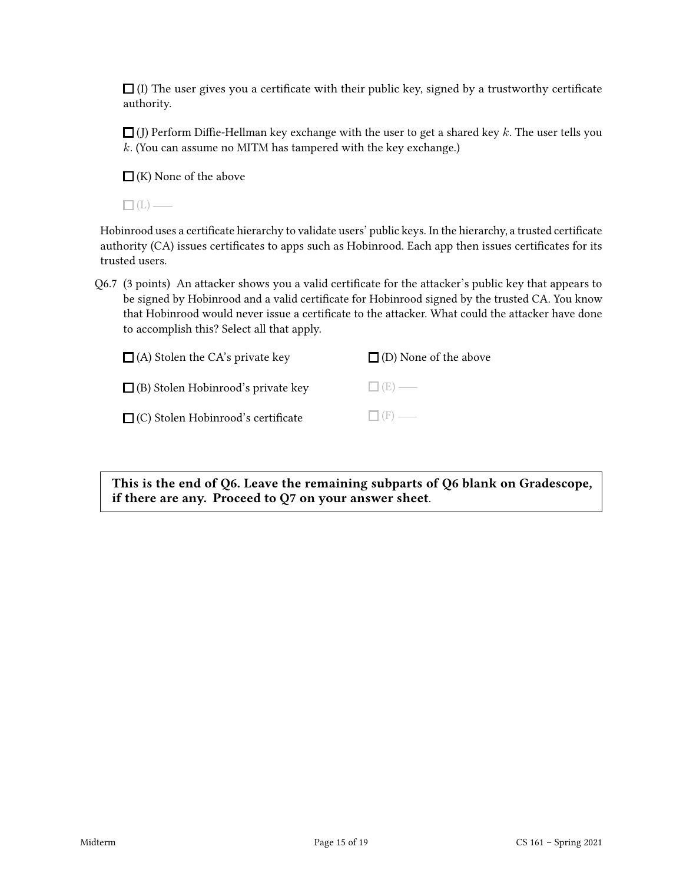$\Box$  (I) The user gives you a certificate with their public key, signed by a trustworthy certificate authority.

 $\Box$  (J) Perform Diffie-Hellman key exchange with the user to get a shared key k. The user tells you  $k$ . (You can assume no MITM has tampered with the key exchange.)

 $\Box$  (K) None of the above

 $\Box$ (L) —

Hobinrood uses a certificate hierarchy to validate users' public keys. In the hierarchy, a trusted certificate authority (CA) issues certificates to apps such as Hobinrood. Each app then issues certificates for its trusted users.

Q6.7 (3 points) An attacker shows you a valid certificate for the attacker's public key that appears to be signed by Hobinrood and a valid certificate for Hobinrood signed by the trusted CA. You know that Hobinrood would never issue a certificate to the attacker. What could the attacker have done to accomplish this? Select all that apply.

| $\Box$ (A) Stolen the CA's private key    | $\Box$ (D) None of the above |
|-------------------------------------------|------------------------------|
| $\Box$ (B) Stolen Hobinrood's private key | $\Box$ (E) —                 |
| $\Box$ (C) Stolen Hobinrood's certificate | $\Box$ (F) —                 |

This is the end of Q6. Leave the remaining subparts of Q6 blank on Gradescope, if there are any. Proceed to Q7 on your answer sheet.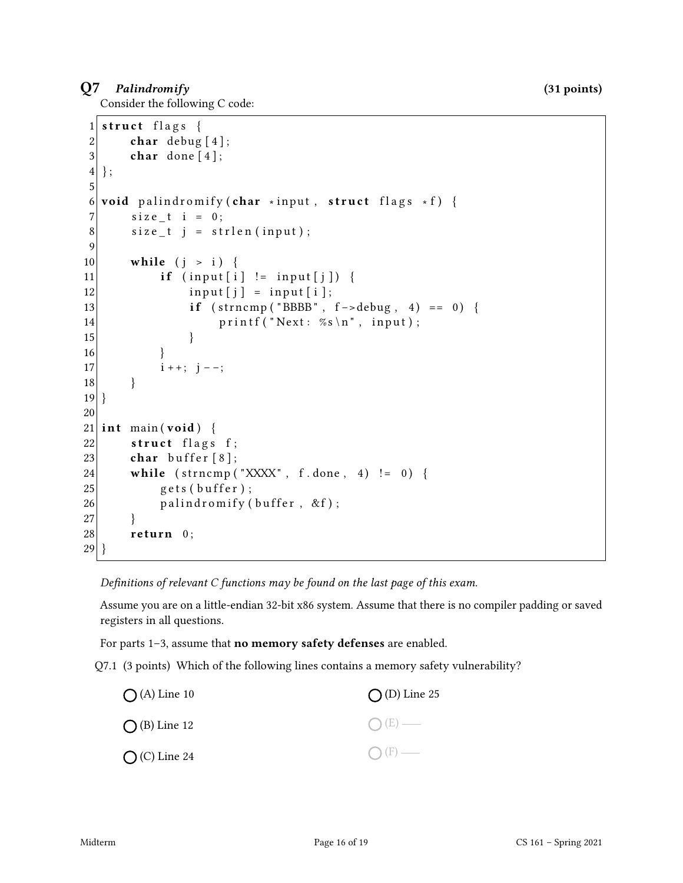#### Q7 Palindromify (31 points)

Consider the following C code:

```
1 struct flags {
2 char debug [4];
3 char done [4];
4};
5
6 void palindromify (char *input, struct flags *f) {
7 size t i = 0;
8 size_t j = strlen(input);
9
10 while (j > i) {
11 if (input[i] != input[j]) {
12 input [j] = input [i];
13 if \text{strncmp}("BBBB", f \text{-} > \text{delay}, 4) == 0)14 printf ("Next: %s\n", input);
\left| \frac{15}{2} \right| }
16 }
17 i + +; j - -;18 }
19 }
20
21 int main (void) {
22 struct flags f;
23 char buffer [8];
24 while \text{(strncmp("XXXX", f.done, 4)} := 0)25 gets (buffer);
26 palindromify (buffer, &f);
27 }
28 return 0;
29 }
```
Definitions of relevant  $C$  functions may be found on the last page of this exam.

Assume you are on a little-endian 32-bit x86 system. Assume that there is no compiler padding or saved registers in all questions.

For parts 1–3, assume that no memory safety defenses are enabled.

Q7.1 (3 points) Which of the following lines contains a memory safety vulnerability?

| $\bigcirc$ (A) Line 10 | $\bigcap$ (D) Line 25 |
|------------------------|-----------------------|
| $\bigcirc$ (B) Line 12 | $O(E)$ —              |
| $\bigcirc$ (C) Line 24 | $\bigcap$ (F) —       |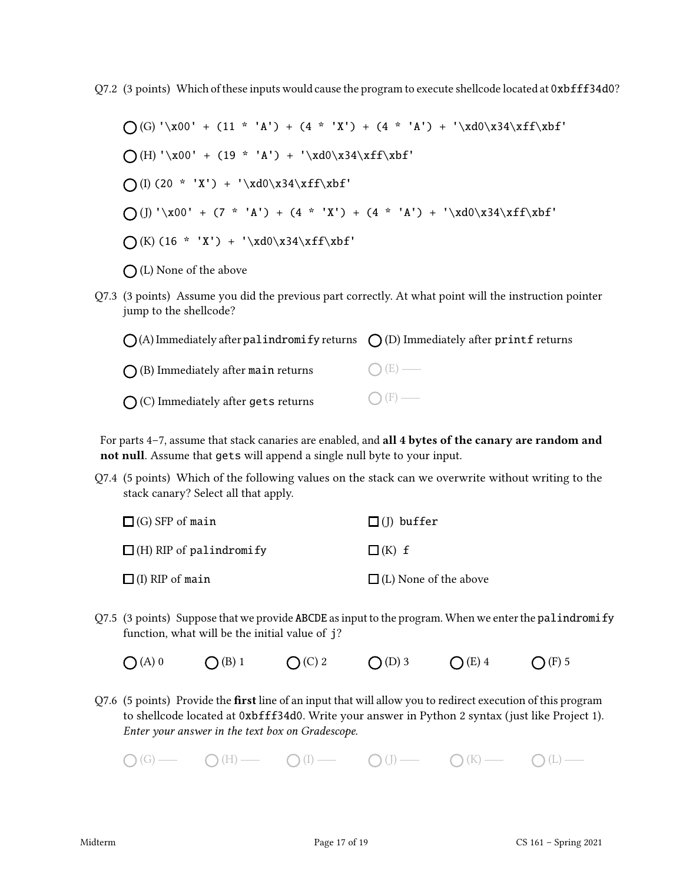Q7.2 (3 points) Which of these inputs would cause the program to execute shellcode located at 0xbfff34d0?

 $\bigcap$ (G) '\x00' + (11 \* 'A') + (4 \* 'X') + (4 \* 'A') + '\xd0\x34\xff\xbf'  $\bigcap(H) \setminus x00' + (19 * 'A') + \setminus xd0\x34\xff\xbf'$  $\bigcap (I) (20 * 'X') + ' \xd0\x34\xff\xbf'$ (J) '\x00' + (7 \* 'A') + (4 \* 'X') + (4 \* 'A') + '\xd0\x34\xff\xbf'  $\bigcap (K) (16 * 'X') + ' \xd0\x34\xff\xbf'$  $\bigcap$  (L) None of the above

Q7.3 (3 points) Assume you did the previous part correctly. At what point will the instruction pointer jump to the shellcode?

| $\bigcap$ (A) Immediately after palindromify returns $\bigcap$ (D) Immediately after printf returns |                 |
|-----------------------------------------------------------------------------------------------------|-----------------|
| $\bigcap$ (B) Immediately after main returns                                                        | $\bigcap (E)$ — |
| $\bigcap$ (C) Immediately after gets returns                                                        | $\bigcap$ (F) — |

For parts 4-7, assume that stack canaries are enabled, and all 4 bytes of the canary are random and not null. Assume that gets will append a single null byte to your input.

Q7.4 (5 points) Which of the following values on the stack can we overwrite without writing to the stack canary? Select all that apply.

| $\Box$ (G) SFP of main         | $\square$ (I) buffer         |
|--------------------------------|------------------------------|
| $\Box$ (H) RIP of palindromify | $\Box$ (K) f                 |
| $\Box$ (I) RIP of main         | $\Box$ (L) None of the above |

- Q7.5 (3 points) Suppose that we provide ABCDE as input to the program. When we enter the palindromify function, what will be the initial value of j?
	- $O(A) 0$   $O(B) 1$   $O(C) 2$   $O(D) 3$   $O(E) 4$   $O(F) 5$
- $Q7.6$  (5 points) Provide the first line of an input that will allow you to redirect execution of this program to shellcode located at 0xbfff34d0. Write your answer in Python 2 syntax (just like Project 1). Enter your answer in the text box on Gradescope.

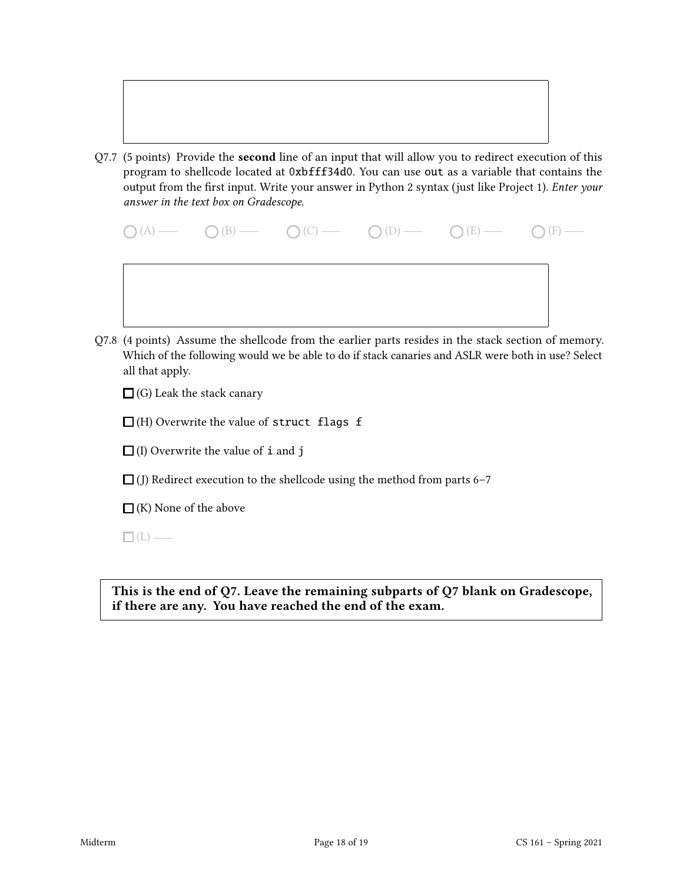

Q7.7 (5 points) Provide the second line of an input that will allow you to redirect execution of this program to shellcode located at 0xbfff34d0. You can use out as a variable that contains the output from the first input. Write your answer in Python 2 syntax (just like Project 1). *Enter your* answer in the text box on Gradescope.

|  | $\bigcirc (A) \longrightarrow \bigcirc (B) \longrightarrow \bigcirc (C) \longrightarrow \bigcirc (D) \longrightarrow \bigcirc (E) \longrightarrow \bigcirc (F) \longrightarrow$ |  |
|--|---------------------------------------------------------------------------------------------------------------------------------------------------------------------------------|--|
|  |                                                                                                                                                                                 |  |
|  |                                                                                                                                                                                 |  |

Q7.8 (4 points) Assume the shellcode from the earlier parts resides in the stack section of memory. Which of the following would we be able to do if stack canaries and ASLR were both in use? Select all that apply.

 $\Box$  (G) Leak the stack canary

 $\Box$ (H) Overwrite the value of struct flags f

 $\Box$  (I) Overwrite the value of **i** and **j** 

 $\Box$  (J) Redirect execution to the shellcode using the method from parts 6–7

 $\Box$ (K) None of the above

 $\Box$ (L) —

This is the end of Q7. Leave the remaining subparts of Q7 blank on Gradescope, if there are any. You have reached the end of the exam.